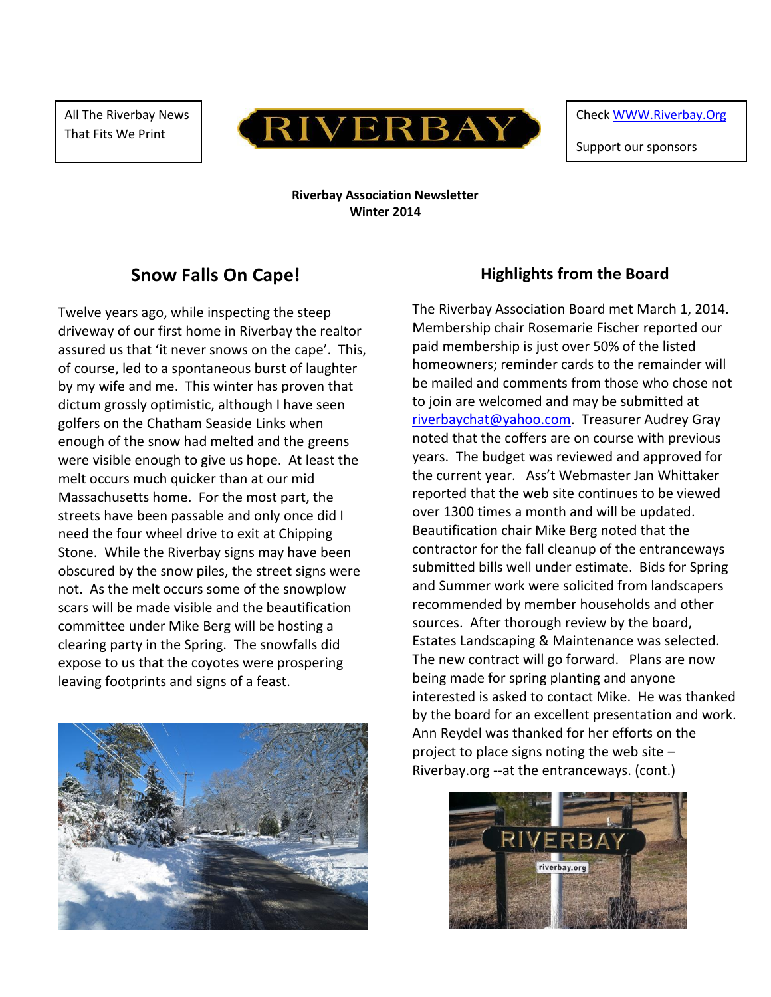All The Riverbay News That Fits We Print



Check [WWW.Riverbay.Org](http://www.riverbay.org/)

Support our sponsors

**Riverbay Association Newsletter Winter 2014**

# **Snow Falls On Cape!**

Twelve years ago, while inspecting the steep driveway of our first home in Riverbay the realtor assured us that 'it never snows on the cape'. This, of course, led to a spontaneous burst of laughter by my wife and me. This winter has proven that dictum grossly optimistic, although I have seen golfers on the Chatham Seaside Links when enough of the snow had melted and the greens were visible enough to give us hope. At least the melt occurs much quicker than at our mid Massachusetts home. For the most part, the streets have been passable and only once did I need the four wheel drive to exit at Chipping Stone. While the Riverbay signs may have been obscured by the snow piles, the street signs were not. As the melt occurs some of the snowplow scars will be made visible and the beautification committee under Mike Berg will be hosting a clearing party in the Spring. The snowfalls did expose to us that the coyotes were prospering leaving footprints and signs of a feast.



### **Highlights from the Board**

The Riverbay Association Board met March 1, 2014. Membership chair Rosemarie Fischer reported our paid membership is just over 50% of the listed homeowners; reminder cards to the remainder will be mailed and comments from those who chose not to join are welcomed and may be submitted at [riverbaychat@yahoo.com.](mailto:riverbaychat@yahoo.com) Treasurer Audrey Gray noted that the coffers are on course with previous years. The budget was reviewed and approved for the current year. Ass't Webmaster Jan Whittaker reported that the web site continues to be viewed over 1300 times a month and will be updated. Beautification chair Mike Berg noted that the contractor for the fall cleanup of the entranceways submitted bills well under estimate. Bids for Spring and Summer work were solicited from landscapers recommended by member households and other sources. After thorough review by the board, Estates Landscaping & Maintenance was selected. The new contract will go forward. Plans are now being made for spring planting and anyone interested is asked to contact Mike. He was thanked by the board for an excellent presentation and work. Ann Reydel was thanked for her efforts on the project to place signs noting the web site – Riverbay.org --at the entranceways. (cont.)

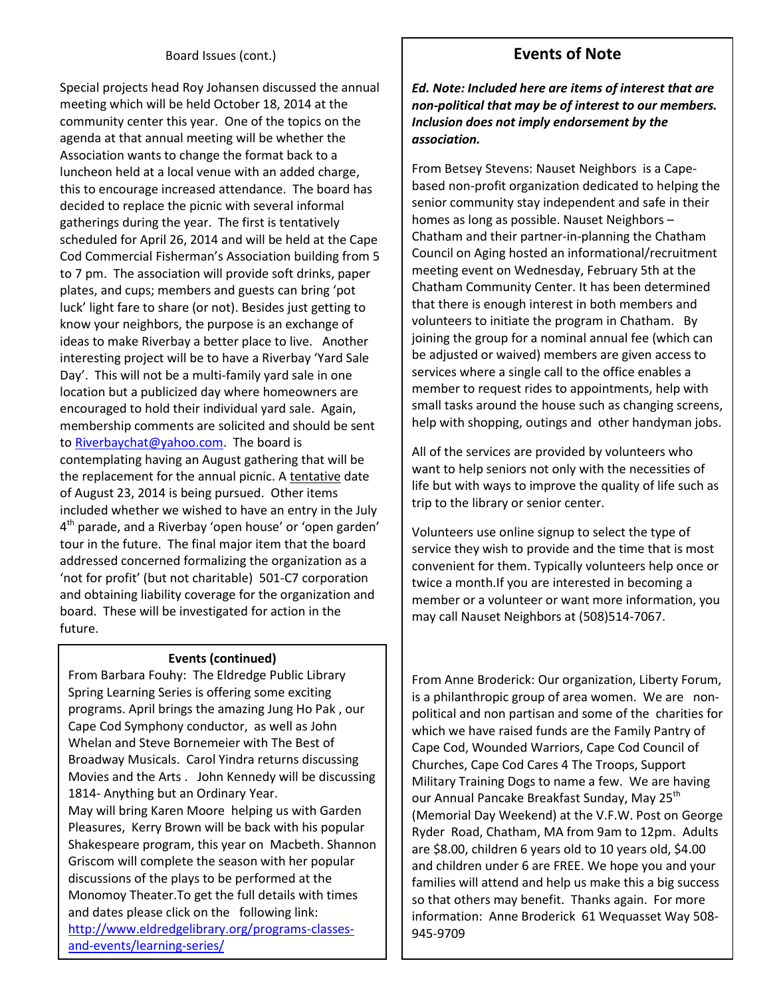#### Board Issues (cont.)

Special projects head Roy Johansen discussed the annual meeting which will be held October 18, 2014 at the community center this year. One of the topics on the agenda at that annual meeting will be whether the Association wants to change the format back to a luncheon held at a local venue with an added charge, this to encourage increased attendance. The board has decided to replace the picnic with several informal gatherings during the year. The first is tentatively scheduled for April 26, 2014 and will be held at the Cape Cod Commercial Fisherman's Association building from 5 to 7 pm. The association will provide soft drinks, paper plates, and cups; members and guests can bring 'pot luck' light fare to share (or not). Besides just getting to know your neighbors, the purpose is an exchange of ideas to make Riverbay a better place to live. Another interesting project will be to have a Riverbay 'Yard Sale Day'. This will not be a multi-family yard sale in one location but a publicized day where homeowners are encouraged to hold their individual yard sale. Again, membership comments are solicited and should be sent t[o Riverbaychat@yahoo.com.](mailto:Riverbaychat@yahoo.com) The board is contemplating having an August gathering that will be the replacement for the annual picnic. A tentative date of August 23, 2014 is being pursued. Other items included whether we wished to have an entry in the July 4<sup>th</sup> parade, and a Riverbay 'open house' or 'open garden' tour in the future. The final major item that the board addressed concerned formalizing the organization as a 'not for profit' (but not charitable) 501-C7 corporation and obtaining liability coverage for the organization and board. These will be investigated for action in the future.

#### **Events (continued)**

From Barbara Fouhy: The Eldredge Public Library Spring Learning Series is offering some exciting programs. April brings the amazing Jung Ho Pak , our Cape Cod Symphony conductor, as well as John Whelan and Steve Bornemeier with The Best of Broadway Musicals. Carol Yindra returns discussing Movies and the Arts . John Kennedy will be discussing 1814- Anything but an Ordinary Year. May will bring Karen Moore helping us with Garden Pleasures, Kerry Brown will be back with his popular Shakespeare program, this year on Macbeth. Shannon Griscom will complete the season with her popular discussions of the plays to be performed at the Monomoy Theater.To get the full details with times and dates please click on the following link: [http://www.eldredgelibrary.org/programs-classes](http://www.eldredgelibrary.org/programs-classes-and-events/learning-series/)[and-events/learning-series/](http://www.eldredgelibrary.org/programs-classes-and-events/learning-series/)

# **Events of Note**

*Ed. Note: Included here are items of interest that are non-political that may be of interest to our members. Inclusion does not imply endorsement by the association.* 

From Betsey Stevens: Nauset Neighbors is a Capebased non-profit organization dedicated to helping the senior community stay independent and safe in their homes as long as possible. Nauset Neighbors – Chatham and their partner-in-planning the Chatham Council on Aging hosted an informational/recruitment meeting event on Wednesday, February 5th at the Chatham Community Center. It has been determined that there is enough interest in both members and volunteers to initiate the program in Chatham. By joining the group for a nominal annual fee (which can be adjusted or waived) members are given access to services where a single call to the office enables a member to request rides to appointments, help with small tasks around the house such as changing screens, help with shopping, outings and other handyman jobs.

All of the services are provided by volunteers who want to help seniors not only with the necessities of life but with ways to improve the quality of life such as trip to the library or senior center.

Volunteers use online signup to select the type of service they wish to provide and the time that is most convenient for them. Typically volunteers help once or twice a month.If you are interested in becoming a member or a volunteer or want more information, you may call Nauset Neighbors at (508)514-7067.

From Anne Broderick: Our organization, Liberty Forum, is a philanthropic group of area women. We are nonpolitical and non partisan and some of the charities for which we have raised funds are the Family Pantry of Cape Cod, Wounded Warriors, Cape Cod Council of Churches, Cape Cod Cares 4 The Troops, Support Military Training Dogs to name a few. We are having our Annual Pancake Breakfast Sunday, May 25<sup>th</sup> (Memorial Day Weekend) at the V.F.W. Post on George Ryder Road, Chatham, MA from 9am to 12pm. Adults are \$8.00, children 6 years old to 10 years old, \$4.00 and children under 6 are FREE. We hope you and your families will attend and help us make this a big success so that others may benefit. Thanks again. For more information: Anne Broderick 61 Wequasset Way 508- 945-9709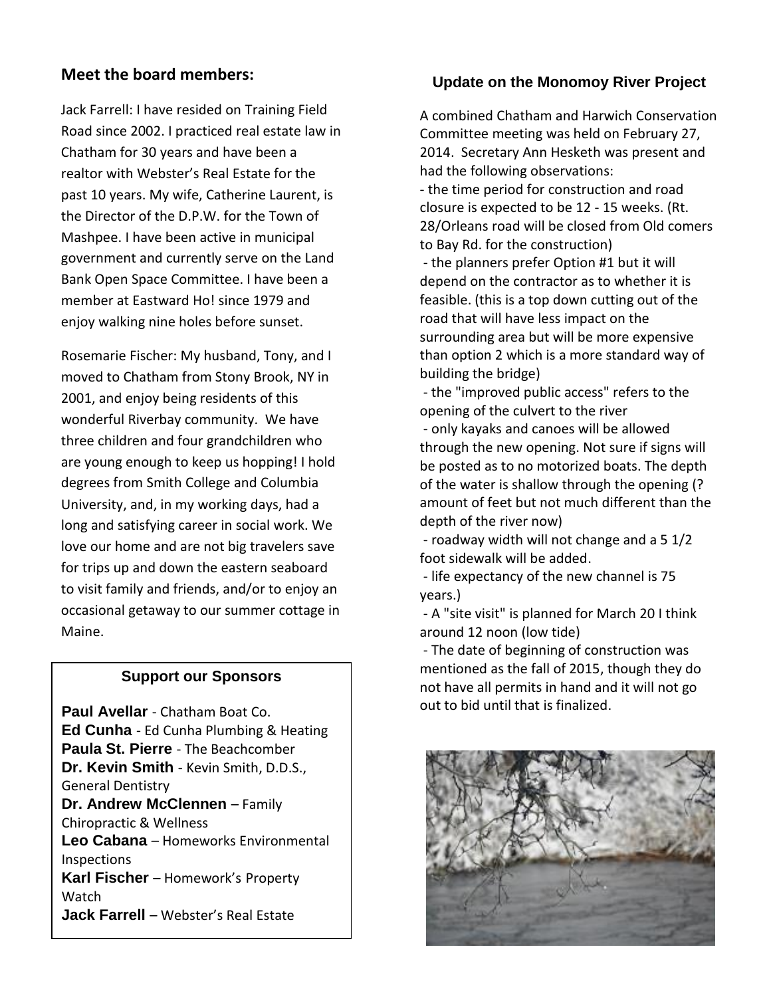### **Meet the board members:**

Jack Farrell: I have resided on Training Field Road since 2002. I practiced real estate law in Chatham for 30 years and have been a realtor with Webster's Real Estate for the past 10 years. My wife, Catherine Laurent, is the Director of the D.P.W. for the Town of Mashpee. I have been active in municipal government and currently serve on the Land Bank Open Space Committee. I have been a member at Eastward Ho! since 1979 and enjoy walking nine holes before sunset.

Rosemarie Fischer: My husband, Tony, and I moved to Chatham from Stony Brook, NY in 2001, and enjoy being residents of this wonderful Riverbay community. We have three children and four grandchildren who are young enough to keep us hopping! I hold degrees from Smith College and Columbia University, and, in my working days, had a long and satisfying career in social work. We love our home and are not big travelers save for trips up and down the eastern seaboard to visit family and friends, and/or to enjoy an occasional getaway to our summer cottage in Maine.

### **Support our Sponsors**

**Paul Avellar** - Chatham Boat Co. **Ed Cunha** - Ed Cunha Plumbing & Heating **Paula St. Pierre** - The Beachcomber **Dr. Kevin Smith** - Kevin Smith, D.D.S., General Dentistry **Dr. Andrew McClennen** – Family Chiropractic & Wellness **Leo Cabana** – Homeworks Environmental Inspections **Karl Fischer** – Homework's Property Watch **Jack Farrell** – Webster's Real Estate

## **Update on the Monomoy River Project**

A combined Chatham and Harwich Conservation Committee meeting was held on February 27, 2014. Secretary Ann Hesketh was present and had the following observations:

- the time period for construction and road closure is expected to be 12 - 15 weeks. (Rt. 28/Orleans road will be closed from Old comers to Bay Rd. for the construction)

- the planners prefer Option #1 but it will depend on the contractor as to whether it is feasible. (this is a top down cutting out of the road that will have less impact on the surrounding area but will be more expensive than option 2 which is a more standard way of building the bridge)

- the "improved public access" refers to the opening of the culvert to the river

- only kayaks and canoes will be allowed through the new opening. Not sure if signs will be posted as to no motorized boats. The depth of the water is shallow through the opening (? amount of feet but not much different than the depth of the river now)

- roadway width will not change and a 5 1/2 foot sidewalk will be added.

- life expectancy of the new channel is 75 years.)

- A "site visit" is planned for March 20 I think around 12 noon (low tide)

- The date of beginning of construction was mentioned as the fall of 2015, though they do not have all permits in hand and it will not go out to bid until that is finalized.